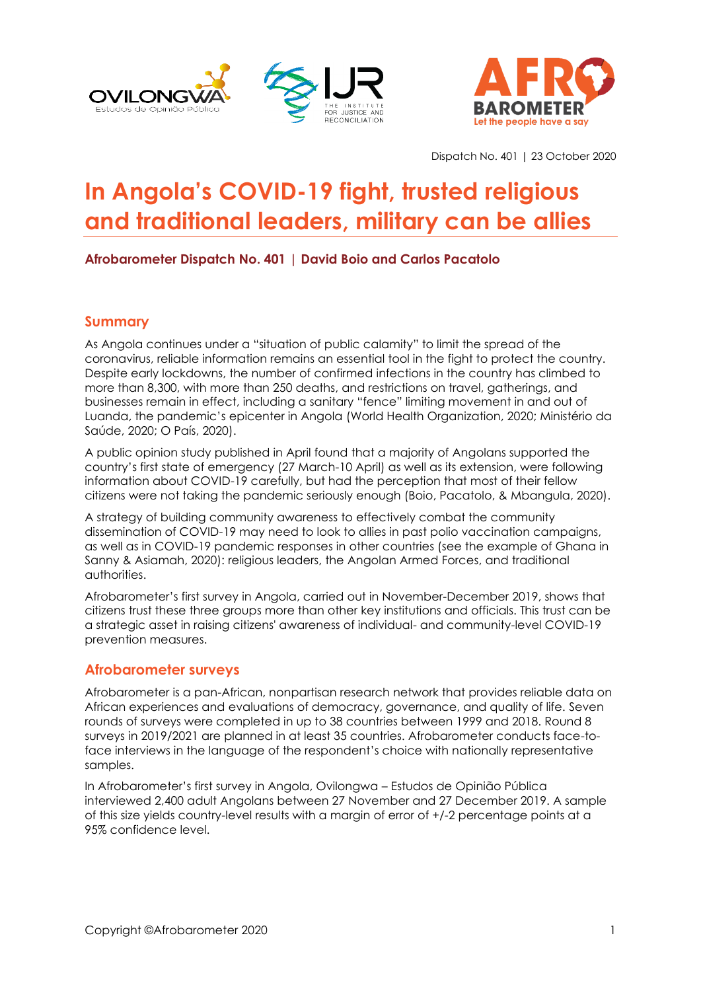



Dispatch No. 401 | 23 October 2020

# **In Angola's COVID-19 fight, trusted religious and traditional leaders, military can be allies**

### **Afrobarometer Dispatch No. 401 | David Boio and Carlos Pacatolo**

#### **Summary**

As Angola continues under a "situation of public calamity" to limit the spread of the coronavirus, reliable information remains an essential tool in the fight to protect the country. Despite early lockdowns, the number of confirmed infections in the country has climbed to more than 8,300, with more than 250 deaths, and restrictions on travel, gatherings, and businesses remain in effect, including a sanitary "fence" limiting movement in and out of Luanda, the pandemic's epicenter in Angola (World Health Organization, 2020; Ministério da Saúde, 2020; O País, 2020).

A public opinion study published in April found that a majority of Angolans supported the country's first state of emergency (27 March-10 April) as well as its extension, were following information about COVID-19 carefully, but had the perception that most of their fellow citizens were not taking the pandemic seriously enough (Boio, Pacatolo, & Mbangula, 2020).

A strategy of building community awareness to effectively combat the community dissemination of COVID-19 may need to look to allies in past polio vaccination campaigns, as well as in COVID-19 pandemic responses in other countries (see the example of Ghana in Sanny & Asiamah, 2020): religious leaders, the Angolan Armed Forces, and traditional authorities.

Afrobarometer's first survey in Angola, carried out in November-December 2019, shows that citizens trust these three groups more than other key institutions and officials. This trust can be a strategic asset in raising citizens' awareness of individual- and community-level COVID-19 prevention measures.

#### **Afrobarometer surveys**

Afrobarometer is a pan-African, nonpartisan research network that provides reliable data on African experiences and evaluations of democracy, governance, and quality of life. Seven rounds of surveys were completed in up to 38 countries between 1999 and 2018. Round 8 surveys in 2019/2021 are planned in at least 35 countries. Afrobarometer conducts face-toface interviews in the language of the respondent's choice with nationally representative samples.

In Afrobarometer's first survey in Angola, Ovilongwa – Estudos de Opinião Pública interviewed 2,400 adult Angolans between 27 November and 27 December 2019. A sample of this size yields country-level results with a margin of error of +/-2 percentage points at a 95% confidence level.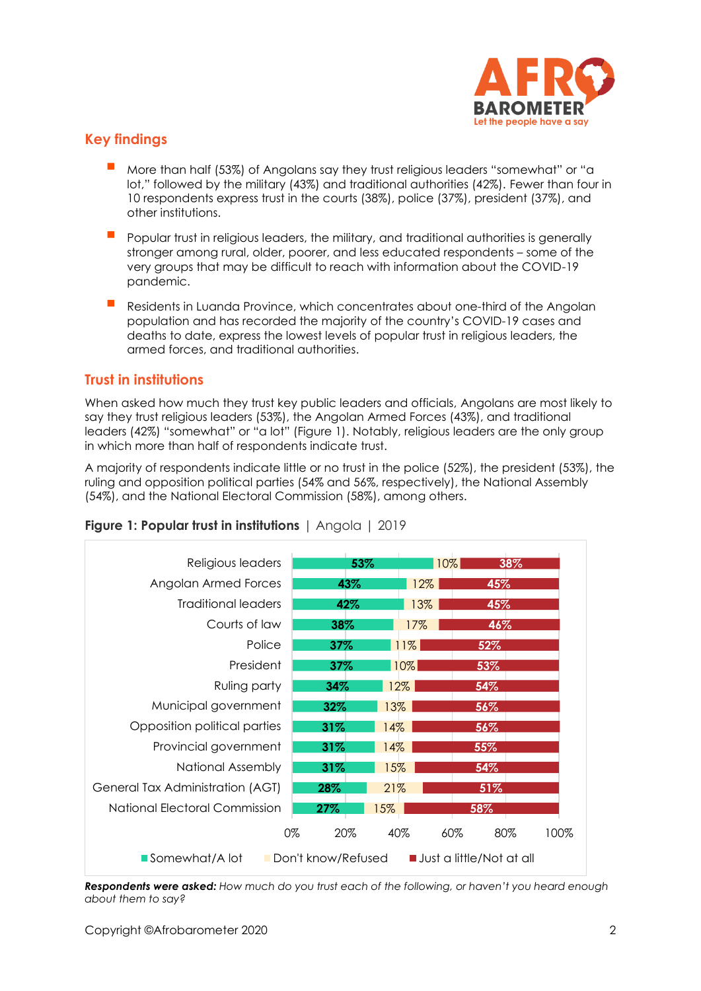

# **Key findings**

- More than half (53%) of Angolans say they trust religious leaders "somewhat" or "a lot," followed by the military (43%) and traditional authorities (42%). Fewer than four in 10 respondents express trust in the courts (38%), police (37%), president (37%), and other institutions.
- Popular trust in religious leaders, the military, and traditional authorities is generally stronger among rural, older, poorer, and less educated respondents – some of the very groups that may be difficult to reach with information about the COVID-19 pandemic.
- Residents in Luanda Province, which concentrates about one-third of the Angolan population and has recorded the majority of the country's COVID-19 cases and deaths to date, express the lowest levels of popular trust in religious leaders, the armed forces, and traditional authorities.

### **Trust in institutions**

When asked how much they trust key public leaders and officials, Angolans are most likely to say they trust religious leaders (53%), the Angolan Armed Forces (43%), and traditional leaders (42%) "somewhat" or "a lot" (Figure 1). Notably, religious leaders are the only group in which more than half of respondents indicate trust.

A majority of respondents indicate little or no trust in the police (52%), the president (53%), the ruling and opposition political parties (54% and 56%, respectively), the National Assembly (54%), and the National Electoral Commission (58%), among others.



#### **Figure 1: Popular trust in institutions** | Angola | 2019

*Respondents were asked: How much do you trust each of the following, or haven't you heard enough about them to say?*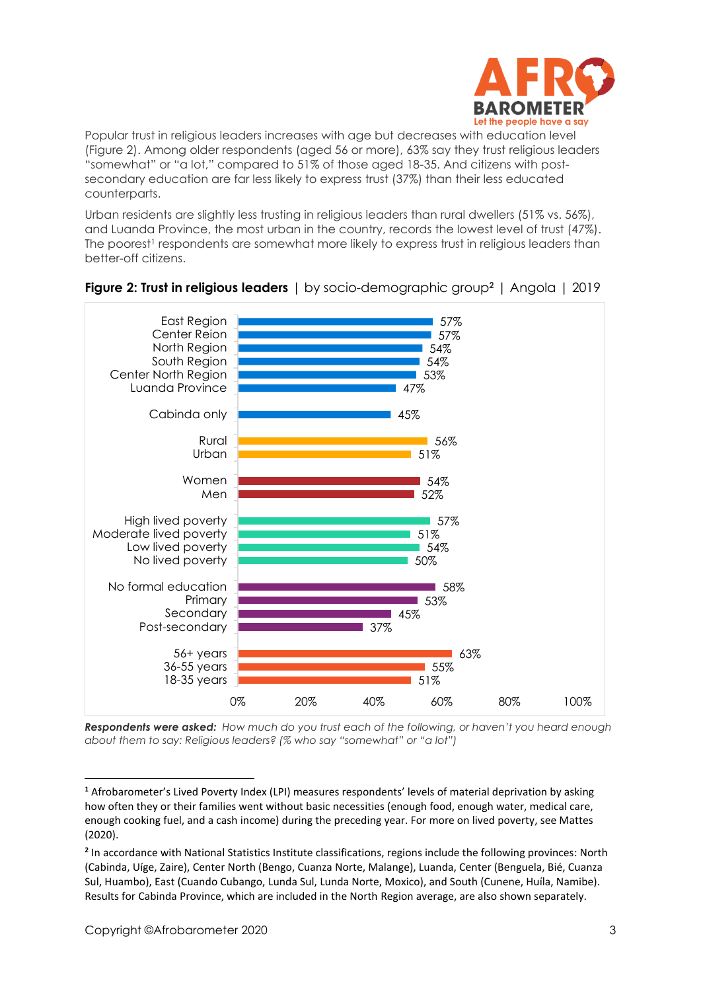

Popular trust in religious leaders increases with age but decreases with education level (Figure 2). Among older respondents (aged 56 or more), 63% say they trust religious leaders "somewhat" or "a lot," compared to 51% of those aged 18-35. And citizens with postsecondary education are far less likely to express trust (37%) than their less educated counterparts.

Urban residents are slightly less trusting in religious leaders than rural dwellers (51% vs. 56%), and Luanda Province, the most urban in the country, records the lowest level of trust (47%). The poorest<sup>1</sup> respondents are somewhat more likely to express trust in religious leaders than better-off citizens.



### **Figure 2: Trust in religious leaders** | by socio-demographic group**<sup>2</sup>** | Angola | 2019

*Respondents were asked: How much do you trust each of the following, or haven't you heard enough about them to say: Religious leaders? (% who say "somewhat" or "a lot")*

**<sup>1</sup>** Afrobarometer's Lived Poverty Index (LPI) measures respondents' levels of material deprivation by asking how often they or their families went without basic necessities (enough food, enough water, medical care, enough cooking fuel, and a cash income) during the preceding year. For more on lived poverty, see Mattes (2020).

**<sup>2</sup>** In accordance with National Statistics Institute classifications, regions include the following provinces: North (Cabinda, Uíge, Zaire), Center North (Bengo, Cuanza Norte, Malange), Luanda, Center (Benguela, Bié, Cuanza Sul, Huambo), East (Cuando Cubango, Lunda Sul, Lunda Norte, Moxico), and South (Cunene, Huíla, Namibe). Results for Cabinda Province, which are included in the North Region average, are also shown separately.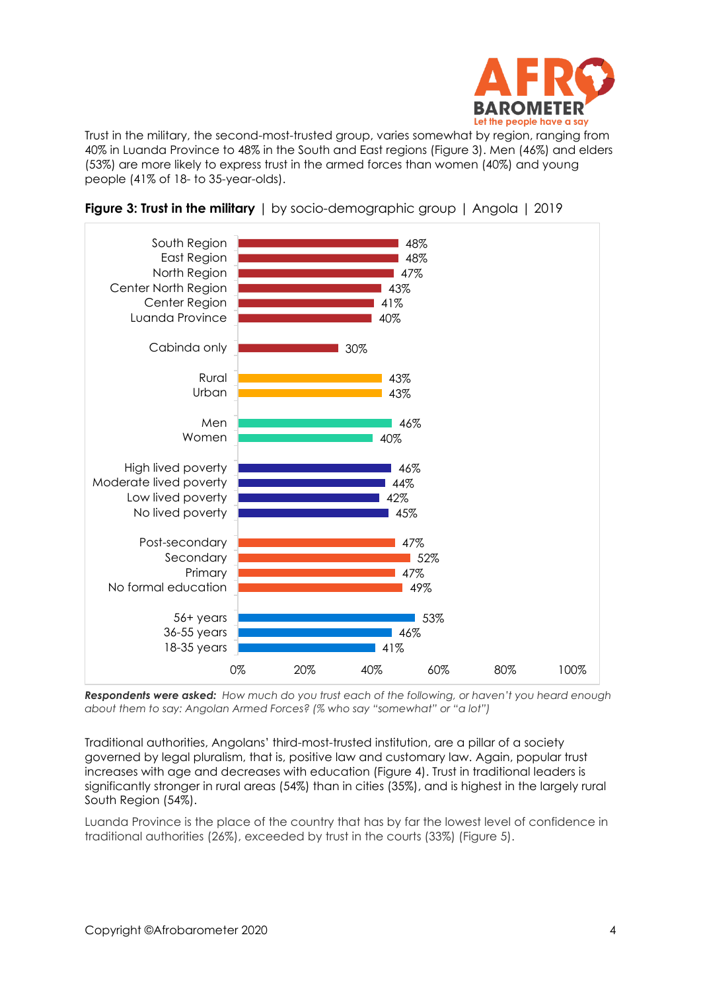

Trust in the military, the second-most-trusted group, varies somewhat by region, ranging from 40% in Luanda Province to 48% in the South and East regions (Figure 3). Men (46%) and elders (53%) are more likely to express trust in the armed forces than women (40%) and young people (41% of 18- to 35-year-olds).





*Respondents were asked: How much do you trust each of the following, or haven't you heard enough about them to say: Angolan Armed Forces? (% who say "somewhat" or "a lot")*

Traditional authorities, Angolans' third-most-trusted institution, are a pillar of a society governed by legal pluralism, that is, positive law and customary law. Again, popular trust increases with age and decreases with education (Figure 4). Trust in traditional leaders is significantly stronger in rural areas (54%) than in cities (35%), and is highest in the largely rural South Region (54%).

Luanda Province is the place of the country that has by far the lowest level of confidence in traditional authorities (26%), exceeded by trust in the courts (33%) (Figure 5).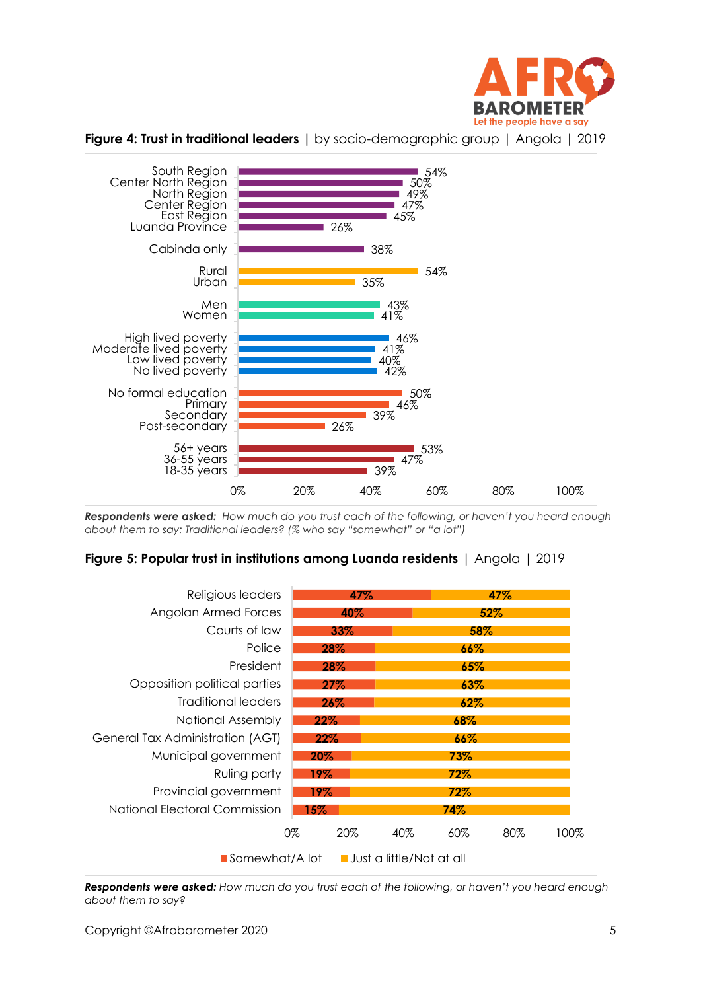



**Figure 4: Trust in traditional leaders |** by socio-demographic group | Angola | 2019

*Respondents were asked: How much do you trust each of the following, or haven't you heard enough about them to say: Traditional leaders? (% who say "somewhat" or "a lot")*





*Respondents were asked: How much do you trust each of the following, or haven't you heard enough about them to say?*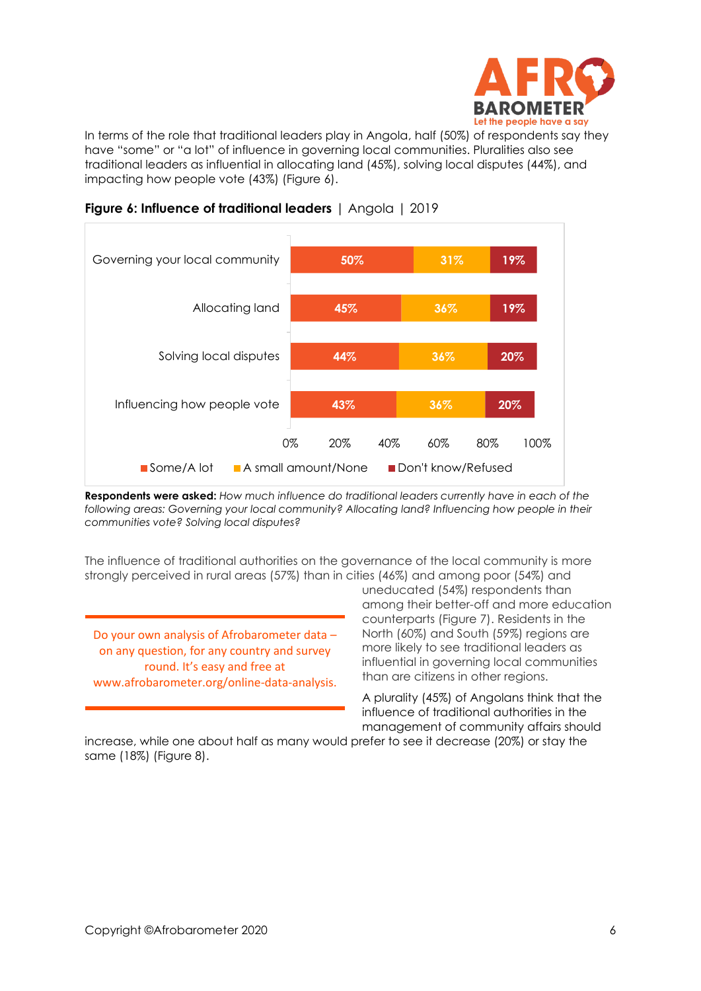

In terms of the role that traditional leaders play in Angola, half (50%) of respondents say they have "some" or "a lot" of influence in governing local communities. Pluralities also see traditional leaders as influential in allocating land (45%), solving local disputes (44%), and impacting how people vote (43%) (Figure 6).



#### **Figure 6: Influence of traditional leaders** | Angola | 2019

**Respondents were asked:** *How much influence do traditional leaders currently have in each of the*  following areas: Governing your local community? Allocating land? Influencing how people in their *communities vote? Solving local disputes?*

The influence of traditional authorities on the governance of the local community is more strongly perceived in rural areas (57%) than in cities (46%) and among poor (54%) and

Do your own analysis of Afrobarometer data – on any question, for any country and survey round. It's easy and free at www.afrobarometer.org/online-data-analysis.

uneducated (54%) respondents than among their better-off and more education counterparts (Figure 7). Residents in the North (60%) and South (59%) regions are more likely to see traditional leaders as influential in governing local communities than are citizens in other regions.

A plurality (45%) of Angolans think that the influence of traditional authorities in the management of community affairs should

increase, while one about half as many would prefer to see it decrease (20%) or stay the same (18%) (Figure 8).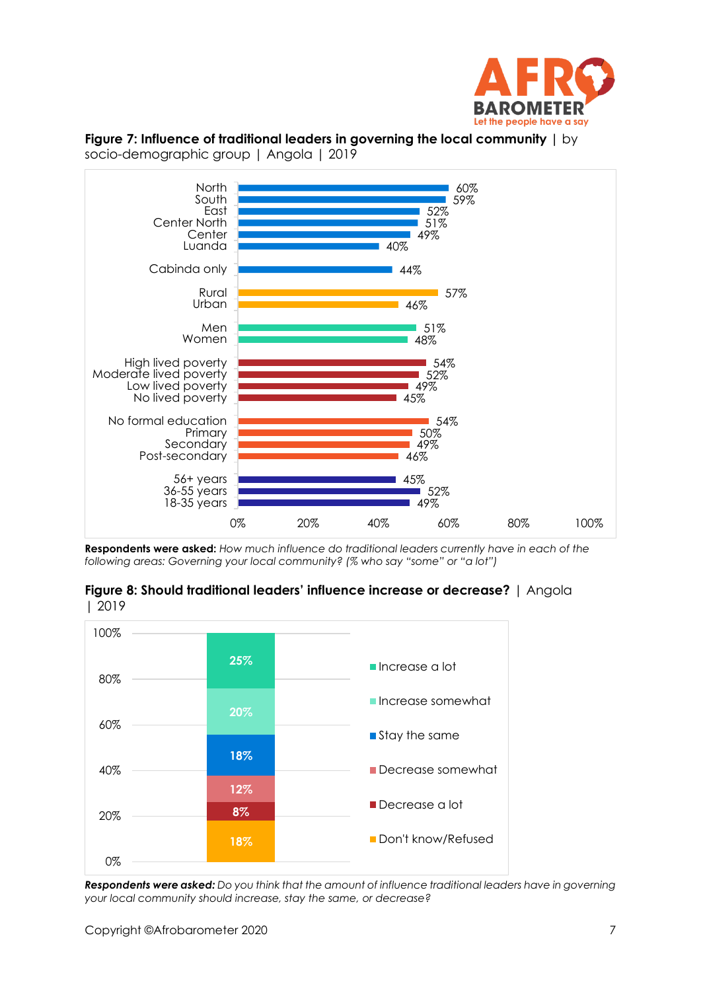

#### **Figure 7: Influence of traditional leaders in governing the local community |** by socio-demographic group | Angola | 2019



**Respondents were asked:** *How much influence do traditional leaders currently have in each of the following areas: Governing your local community? (% who say "some" or "a lot")*

**Figure 8: Should traditional leaders' influence increase or decrease?** | Angola | 2019



*Respondents were asked: Do you think that the amount of influence traditional leaders have in governing your local community should increase, stay the same, or decrease?*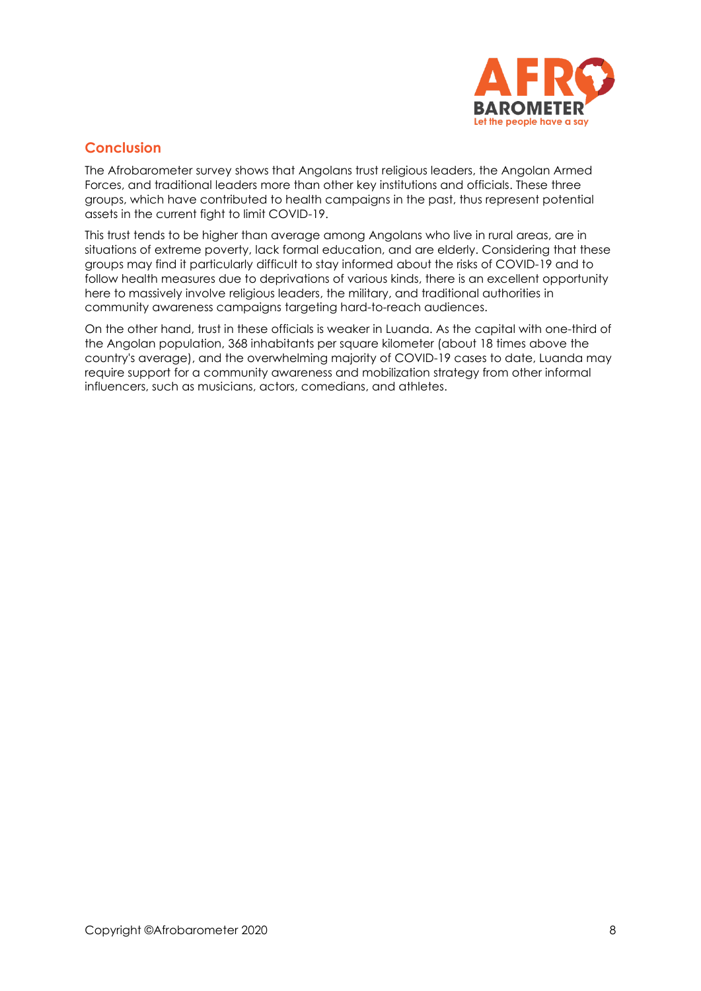

# **Conclusion**

The Afrobarometer survey shows that Angolans trust religious leaders, the Angolan Armed Forces, and traditional leaders more than other key institutions and officials. These three groups, which have contributed to health campaigns in the past, thus represent potential assets in the current fight to limit COVID-19.

This trust tends to be higher than average among Angolans who live in rural areas, are in situations of extreme poverty, lack formal education, and are elderly. Considering that these groups may find it particularly difficult to stay informed about the risks of COVID-19 and to follow health measures due to deprivations of various kinds, there is an excellent opportunity here to massively involve religious leaders, the military, and traditional authorities in community awareness campaigns targeting hard-to-reach audiences.

On the other hand, trust in these officials is weaker in Luanda. As the capital with one-third of the Angolan population, 368 inhabitants per square kilometer (about 18 times above the country's average), and the overwhelming majority of COVID-19 cases to date, Luanda may require support for a community awareness and mobilization strategy from other informal influencers, such as musicians, actors, comedians, and athletes.